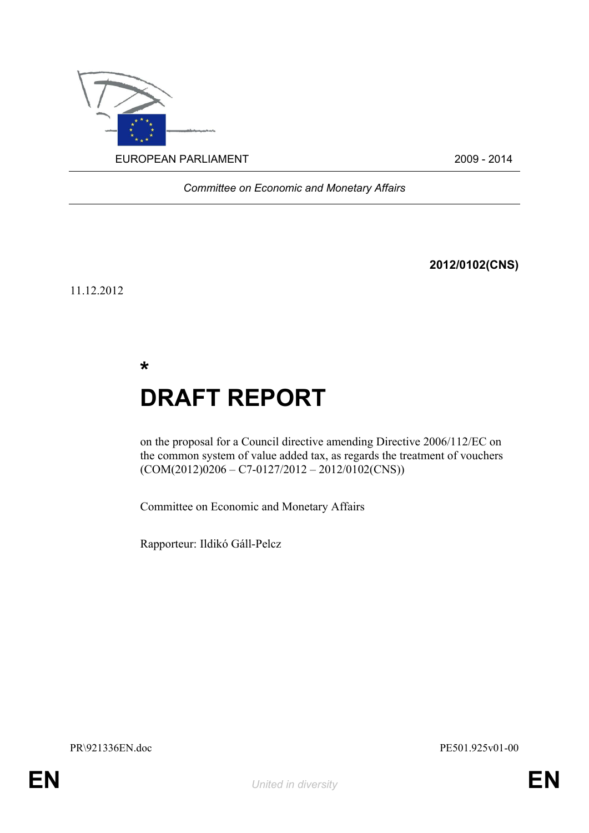

*Committee on Economic and Monetary Affairs*

**2012/0102(CNS)**

# 11.12.2012

**\***

# **DRAFT REPORT**

on the proposal for a Council directive amending Directive 2006/112/EC on the common system of value added tax, as regards the treatment of vouchers  $(COM(2012)0206 - C7 - 0127/2012 - 2012/0102(CNS))$ 

Committee on Economic and Monetary Affairs

<span id="page-0-0"></span>Rapporteur: Ildikó Gáll-Pelcz

<span id="page-0-1"></span>PR\921336EN.doc PE501.925v01-00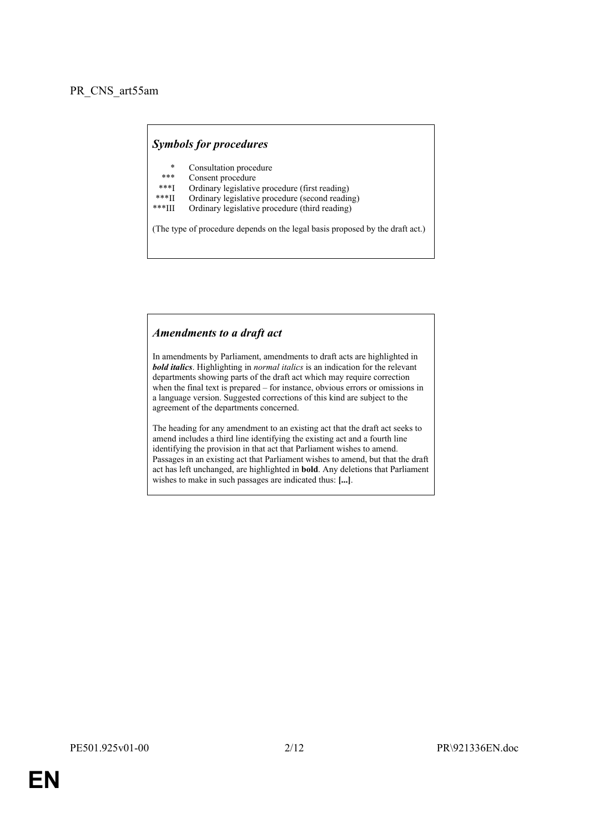#### *Symbols for procedures*

- Consultation procedure
- \*\*\* Consent procedure<br>\*\*\*I Ordinary legislative
- \*\*\*I Ordinary legislative procedure (first reading)
- Ordinary legislative procedure (second reading)
- \*\*\*III Ordinary legislative procedure (third reading)

(The type of procedure depends on the legal basis proposed by the draft act.)

#### *Amendments to a draft act*

In amendments by Parliament, amendments to draft acts are highlighted in *bold italics*. Highlighting in *normal italics* is an indication for the relevant departments showing parts of the draft act which may require correction when the final text is prepared – for instance, obvious errors or omissions in a language version. Suggested corrections of this kind are subject to the agreement of the departments concerned.

The heading for any amendment to an existing act that the draft act seeks to amend includes a third line identifying the existing act and a fourth line identifying the provision in that act that Parliament wishes to amend. Passages in an existing act that Parliament wishes to amend, but that the draft act has left unchanged, are highlighted in **bold**. Any deletions that Parliament wishes to make in such passages are indicated thus: **[...]**.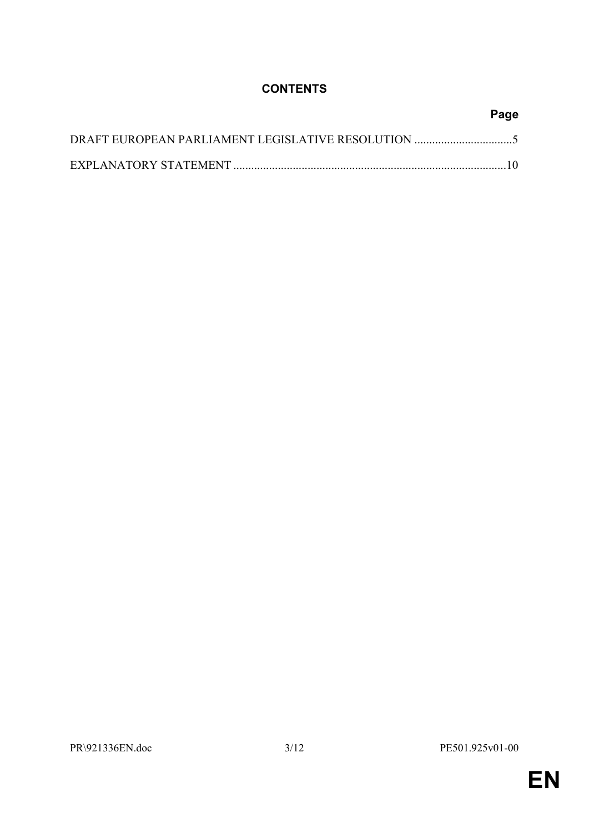# **CONTENTS**

| Page |
|------|
|      |
|      |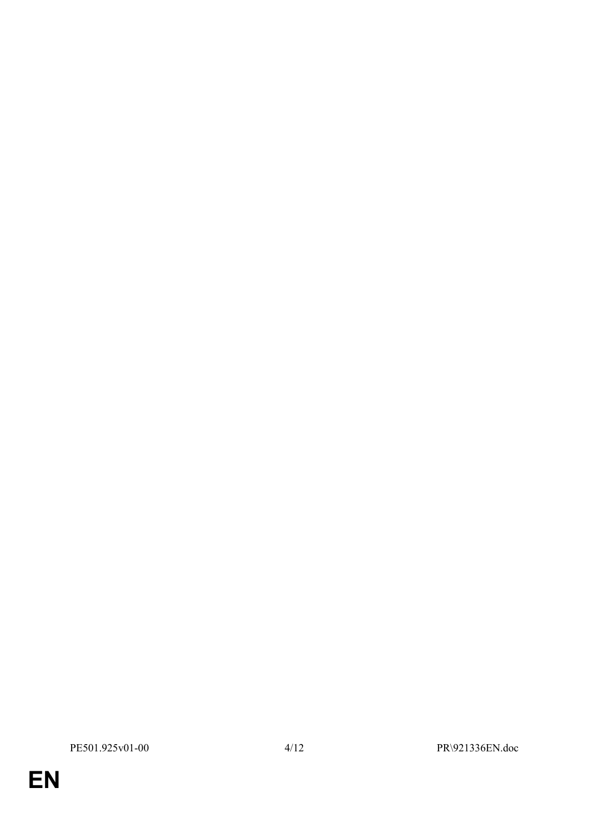[PE501.925v01-00](#page-0-0) 4/12 [PR\921336EN.doc](#page-0-1)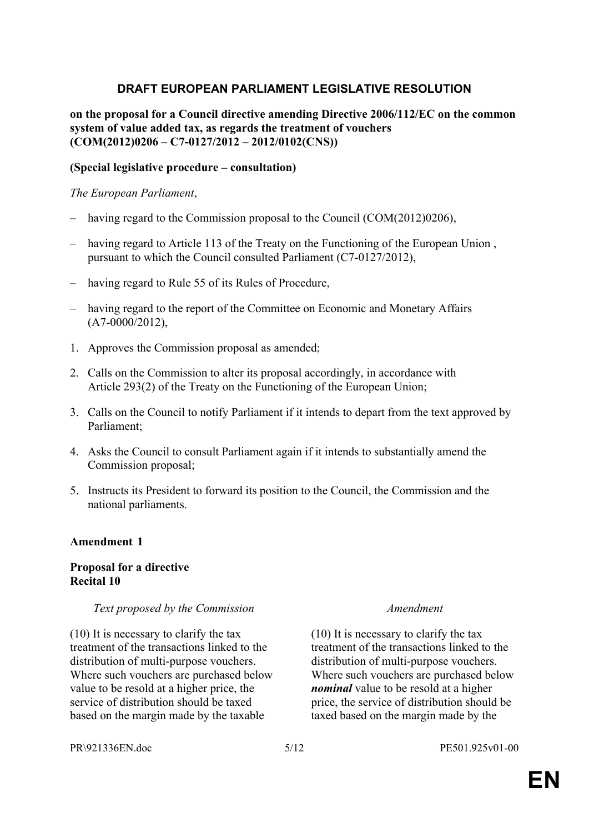# <span id="page-4-0"></span>**DRAFT EUROPEAN PARLIAMENT LEGISLATIVE RESOLUTION**

# **on the proposal for a Council directive amending Directive 2006/112/EC on the common system of value added tax, as regards the treatment of vouchers (COM(2012)0206 – C7-0127/2012 – 2012/0102(CNS))**

### **(Special legislative procedure – consultation)**

### *The European Parliament*,

- having regard to the Commission proposal to the Council (COM(2012)0206),
- having regard to Article 113 of the Treaty on the Functioning of the European Union, pursuant to which the Council consulted Parliament (C7-0127/2012),
- having regard to Rule 55 of its Rules of Procedure,
- having regard to the report of the Committee on Economic and Monetary Affairs (A7-0000/2012),
- 1. Approves the Commission proposal as amended;
- 2. Calls on the Commission to alter its proposal accordingly, in accordance with Article 293(2) of the Treaty on the Functioning of the European Union;
- 3. Calls on the Council to notify Parliament if it intends to depart from the text approved by Parliament;
- 4. Asks the Council to consult Parliament again if it intends to substantially amend the Commission proposal;
- 5. Instructs its President to forward its position to the Council, the Commission and the national parliaments.

#### **Amendment 1**

### **Proposal for a directive Recital 10**

#### *Text proposed by the Commission Amendment*

(10) It is necessary to clarify the tax treatment of the transactions linked to the distribution of multi-purpose vouchers. Where such vouchers are purchased below value to be resold at a higher price, the service of distribution should be taxed based on the margin made by the taxable

(10) It is necessary to clarify the tax treatment of the transactions linked to the distribution of multi-purpose vouchers. Where such vouchers are purchased below *nominal* value to be resold at a higher price, the service of distribution should be taxed based on the margin made by the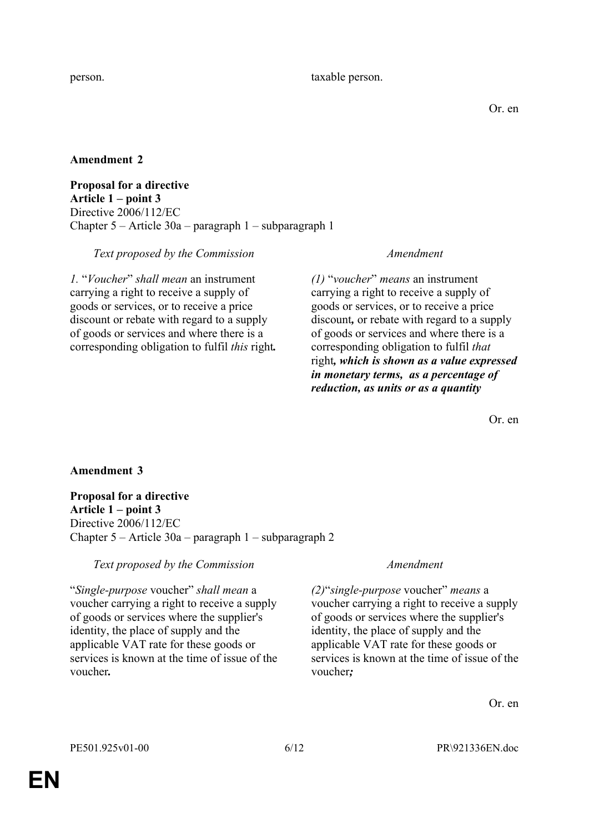**Proposal for a directive Article 1 – point 3** Directive 2006/112/EC Chapter 5 – Article 30a – paragraph 1 – subparagraph 1

# *Text proposed by the Commission Amendment*

*1.* "*Voucher*" *shall mean* an instrument carrying a right to receive a supply of goods or services, or to receive a price discount or rebate with regard to a supply of goods or services and where there is a corresponding obligation to fulfil *this* right*.*

*(1)* "*voucher*" *means* an instrument carrying a right to receive a supply of goods or services, or to receive a price discount*,* or rebate with regard to a supply of goods or services and where there is a corresponding obligation to fulfil *that*  right*, which is shown as a value expressed in monetary terms, as a percentage of reduction, as units or as a quantity* 

Or. en

# **Amendment 3**

**Proposal for a directive Article 1 – point 3** Directive 2006/112/EC Chapter 5 – Article 30a – paragraph 1 – subparagraph 2

*Text proposed by the Commission Amendment*

"*Single-purpose* voucher" *shall mean* a voucher carrying a right to receive a supply of goods or services where the supplier's identity, the place of supply and the applicable VAT rate for these goods or services is known at the time of issue of the voucher*.*

*(2)*"*single-purpose* voucher" *means* a voucher carrying a right to receive a supply of goods or services where the supplier's identity, the place of supply and the applicable VAT rate for these goods or services is known at the time of issue of the voucher*;*

Or. en

[PE501.925v01-00](#page-0-0) 6/12 [PR\921336EN.doc](#page-0-1)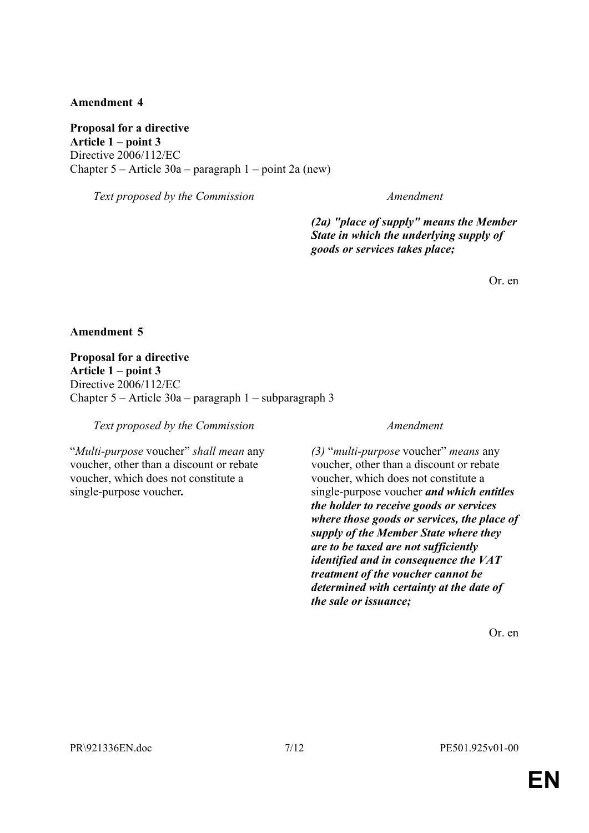**Proposal for a directive Article 1 – point 3** Directive 2006/112/EC Chapter 5 – Article 30a – paragraph 1 – point 2a (new)

*Text proposed by the Commission Amendment*

*(2a) "place of supply" means the Member State in which the underlying supply of goods or services takes place;*

Or. en

### **Amendment 5**

**Proposal for a directive Article 1 – point 3** Directive 2006/112/EC Chapter 5 – Article 30a – paragraph 1 – subparagraph 3

*Text proposed by the Commission Amendment*

"*Multi-purpose* voucher" *shall mean* any voucher, other than a discount or rebate voucher, which does not constitute a single-purpose voucher*.*

*(3)* "*multi-purpose* voucher" *means* any voucher, other than a discount or rebate voucher, which does not constitute a single-purpose voucher *and which entitles the holder to receive goods or services where those goods or services, the place of supply of the Member State where they are to be taxed are not sufficiently identified and in consequence the VAT treatment of the voucher cannot be determined with certainty at the date of the sale or issuance;*

Or. en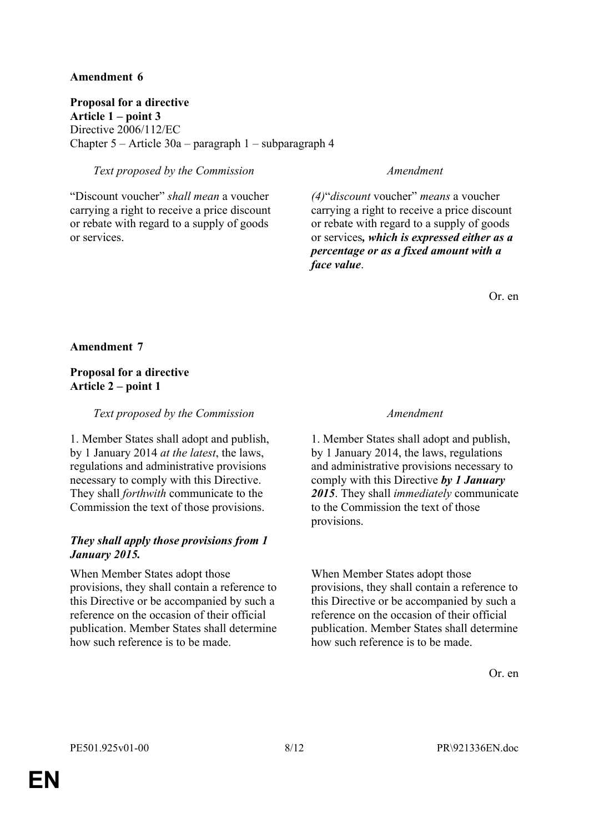# **Proposal for a directive Article 1 – point 3** Directive 2006/112/EC Chapter 5 – Article 30a – paragraph 1 – subparagraph 4

### *Text proposed by the Commission Amendment*

"Discount voucher" *shall mean* a voucher carrying a right to receive a price discount or rebate with regard to a supply of goods or services.

*(4)*"*discount* voucher" *means* a voucher carrying a right to receive a price discount or rebate with regard to a supply of goods or services*, which is expressed either as a percentage or as a fixed amount with a face value*.

Or. en

#### **Amendment 7**

# **Proposal for a directive Article 2 – point 1**

#### *Text proposed by the Commission Amendment*

1. Member States shall adopt and publish, by 1 January 2014 *at the latest*, the laws, regulations and administrative provisions necessary to comply with this Directive. They shall *forthwith* communicate to the Commission the text of those provisions.

# *They shall apply those provisions from 1 January 2015.*

When Member States adopt those provisions, they shall contain a reference to this Directive or be accompanied by such a reference on the occasion of their official publication. Member States shall determine how such reference is to be made.

1. Member States shall adopt and publish, by 1 January 2014, the laws, regulations and administrative provisions necessary to comply with this Directive *by 1 January 2015*. They shall *immediately* communicate to the Commission the text of those provisions.

When Member States adopt those provisions, they shall contain a reference to this Directive or be accompanied by such a reference on the occasion of their official publication. Member States shall determine how such reference is to be made.

Or. en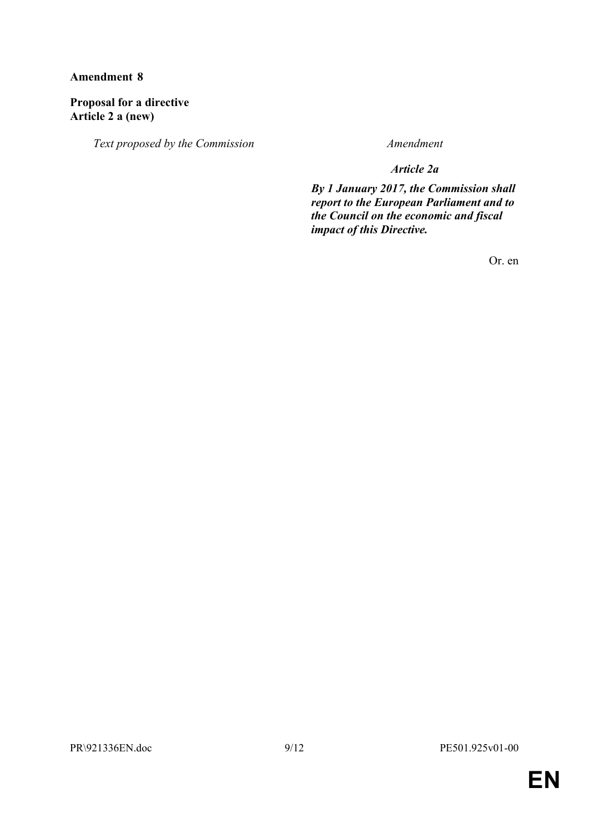# **Proposal for a directive Article 2 a (new)**

*Text proposed by the Commission Amendment*

*Article 2a*

*By 1 January 2017, the Commission shall report to the European Parliament and to the Council on the economic and fiscal impact of this Directive.*

Or. en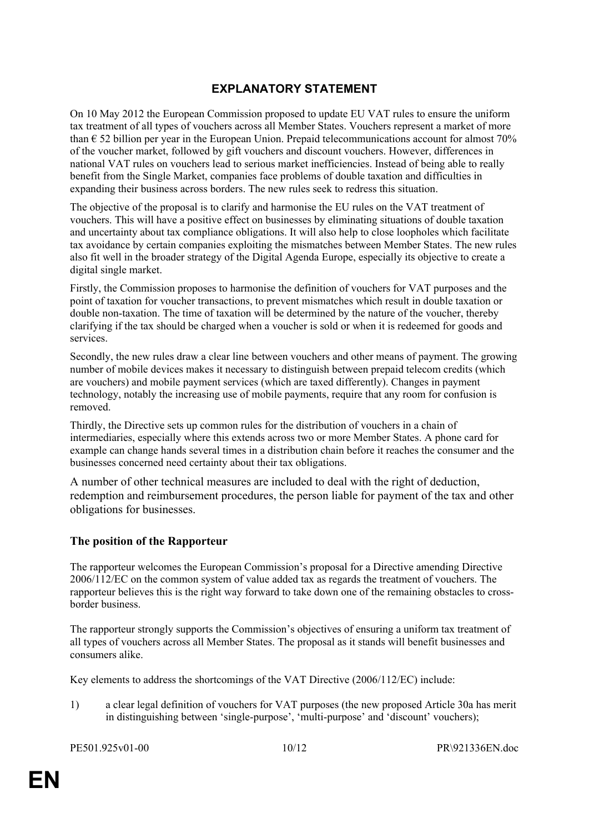# <span id="page-9-0"></span>**EXPLANATORY STATEMENT**

On 10 May 2012 the European Commission proposed to update EU VAT rules to ensure the uniform tax treatment of all types of vouchers across all Member States. Vouchers represent a market of more than  $\epsilon$  52 billion per year in the European Union. Prepaid telecommunications account for almost 70% of the voucher market, followed by gift vouchers and discount vouchers. However, differences in national VAT rules on vouchers lead to serious market inefficiencies. Instead of being able to really benefit from the Single Market, companies face problems of double taxation and difficulties in expanding their business across borders. The new rules seek to redress this situation.

The objective of the proposal is to clarify and harmonise the EU rules on the VAT treatment of vouchers. This will have a positive effect on businesses by eliminating situations of double taxation and uncertainty about tax compliance obligations. It will also help to close loopholes which facilitate tax avoidance by certain companies exploiting the mismatches between Member States. The new rules also fit well in the broader strategy of the Digital Agenda Europe, especially its objective to create a digital single market.

Firstly, the Commission proposes to harmonise the definition of vouchers for VAT purposes and the point of taxation for voucher transactions, to prevent mismatches which result in double taxation or double non-taxation. The time of taxation will be determined by the nature of the voucher, thereby clarifying if the tax should be charged when a voucher is sold or when it is redeemed for goods and services.

Secondly, the new rules draw a clear line between vouchers and other means of payment. The growing number of mobile devices makes it necessary to distinguish between prepaid telecom credits (which are vouchers) and mobile payment services (which are taxed differently). Changes in payment technology, notably the increasing use of mobile payments, require that any room for confusion is removed.

Thirdly, the Directive sets up common rules for the distribution of vouchers in a chain of intermediaries, especially where this extends across two or more Member States. A phone card for example can change hands several times in a distribution chain before it reaches the consumer and the businesses concerned need certainty about their tax obligations.

A number of other technical measures are included to deal with the right of deduction, redemption and reimbursement procedures, the person liable for payment of the tax and other obligations for businesses.

# **The position of the Rapporteur**

The rapporteur welcomes the European Commission's proposal for a Directive amending Directive 2006/112/EC on the common system of value added tax as regards the treatment of vouchers. The rapporteur believes this is the right way forward to take down one of the remaining obstacles to crossborder business.

The rapporteur strongly supports the Commission's objectives of ensuring a uniform tax treatment of all types of vouchers across all Member States. The proposal as it stands will benefit businesses and consumers alike.

Key elements to address the shortcomings of the VAT Directive (2006/112/EC) include:

1) a clear legal definition of vouchers for VAT purposes (the new proposed Article 30a has merit in distinguishing between 'single-purpose', 'multi-purpose' and 'discount' vouchers);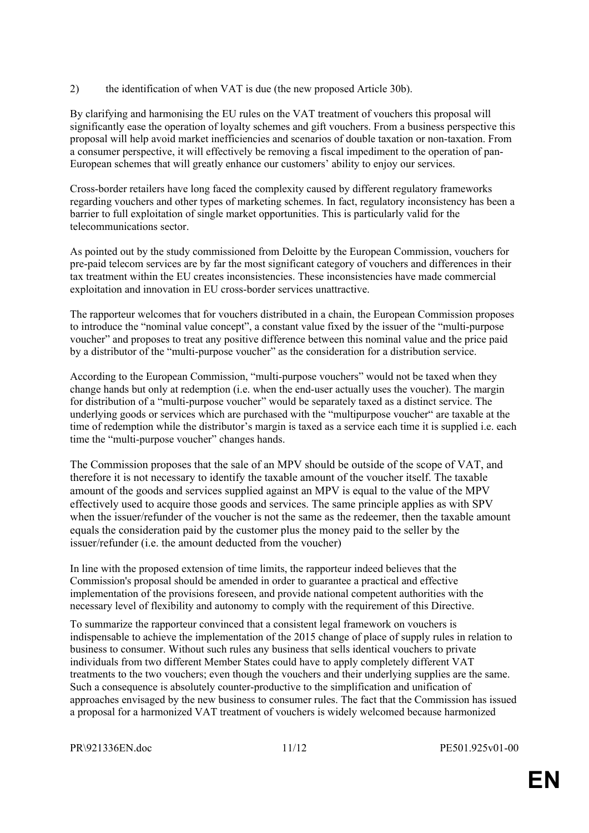2) the identification of when VAT is due (the new proposed Article 30b).

By clarifying and harmonising the EU rules on the VAT treatment of vouchers this proposal will significantly ease the operation of loyalty schemes and gift vouchers. From a business perspective this proposal will help avoid market inefficiencies and scenarios of double taxation or non-taxation. From a consumer perspective, it will effectively be removing a fiscal impediment to the operation of pan-European schemes that will greatly enhance our customers' ability to enjoy our services.

Cross-border retailers have long faced the complexity caused by different regulatory frameworks regarding vouchers and other types of marketing schemes. In fact, regulatory inconsistency has been a barrier to full exploitation of single market opportunities. This is particularly valid for the telecommunications sector.

As pointed out by the study commissioned from Deloitte by the European Commission, vouchers for pre-paid telecom services are by far the most significant category of vouchers and differences in their tax treatment within the EU creates inconsistencies. These inconsistencies have made commercial exploitation and innovation in EU cross-border services unattractive.

The rapporteur welcomes that for vouchers distributed in a chain, the European Commission proposes to introduce the "nominal value concept", a constant value fixed by the issuer of the "multi-purpose voucher" and proposes to treat any positive difference between this nominal value and the price paid by a distributor of the "multi-purpose voucher" as the consideration for a distribution service.

According to the European Commission, "multi-purpose vouchers" would not be taxed when they change hands but only at redemption (i.e. when the end-user actually uses the voucher). The margin for distribution of a "multi-purpose voucher" would be separately taxed as a distinct service. The underlying goods or services which are purchased with the "multipurpose voucher" are taxable at the time of redemption while the distributor's margin is taxed as a service each time it is supplied i.e. each time the "multi-purpose voucher" changes hands.

The Commission proposes that the sale of an MPV should be outside of the scope of VAT, and therefore it is not necessary to identify the taxable amount of the voucher itself. The taxable amount of the goods and services supplied against an MPV is equal to the value of the MPV effectively used to acquire those goods and services. The same principle applies as with SPV when the issuer/refunder of the voucher is not the same as the redeemer, then the taxable amount equals the consideration paid by the customer plus the money paid to the seller by the issuer/refunder (i.e. the amount deducted from the voucher)

In line with the proposed extension of time limits, the rapporteur indeed believes that the Commission's proposal should be amended in order to guarantee a practical and effective implementation of the provisions foreseen, and provide national competent authorities with the necessary level of flexibility and autonomy to comply with the requirement of this Directive.

To summarize the rapporteur convinced that a consistent legal framework on vouchers is indispensable to achieve the implementation of the 2015 change of place of supply rules in relation to business to consumer. Without such rules any business that sells identical vouchers to private individuals from two different Member States could have to apply completely different VAT treatments to the two vouchers; even though the vouchers and their underlying supplies are the same. Such a consequence is absolutely counter-productive to the simplification and unification of approaches envisaged by the new business to consumer rules. The fact that the Commission has issued a proposal for a harmonized VAT treatment of vouchers is widely welcomed because harmonized

[PR\921336EN.doc](#page-0-1) 11/12 [PE501.925v01-00](#page-0-0)